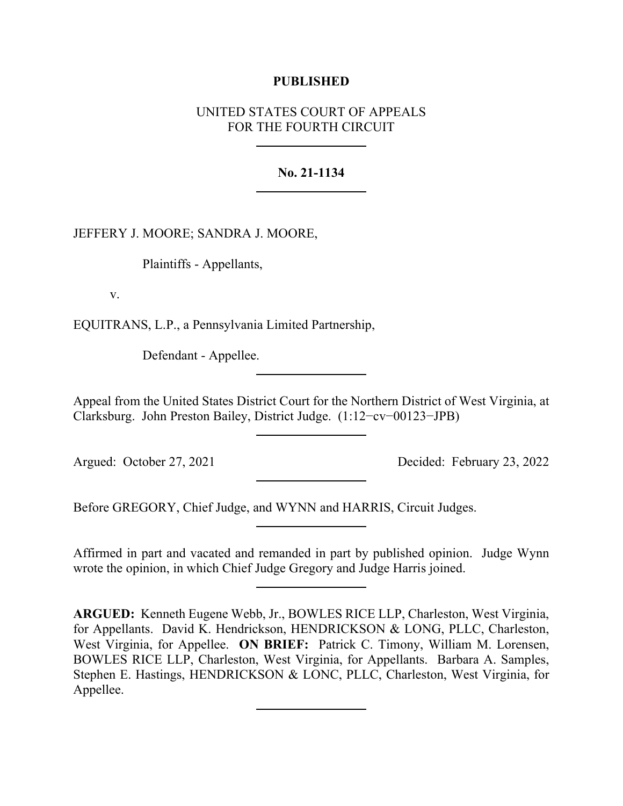# **PUBLISHED**

# UNITED STATES COURT OF APPEALS FOR THE FOURTH CIRCUIT

# **No. 21-1134**

JEFFERY J. MOORE; SANDRA J. MOORE,

Plaintiffs - Appellants,

v.

EQUITRANS, L.P., a Pennsylvania Limited Partnership,

Defendant - Appellee.

Appeal from the United States District Court for the Northern District of West Virginia, at Clarksburg. John Preston Bailey, District Judge. (1:12−cv−00123−JPB)

Argued: October 27, 2021 Decided: February 23, 2022

Before GREGORY, Chief Judge, and WYNN and HARRIS, Circuit Judges.

Affirmed in part and vacated and remanded in part by published opinion. Judge Wynn wrote the opinion, in which Chief Judge Gregory and Judge Harris joined.

**ARGUED:** Kenneth Eugene Webb, Jr., BOWLES RICE LLP, Charleston, West Virginia, for Appellants. David K. Hendrickson, HENDRICKSON & LONG, PLLC, Charleston, West Virginia, for Appellee. **ON BRIEF:** Patrick C. Timony, William M. Lorensen, BOWLES RICE LLP, Charleston, West Virginia, for Appellants. Barbara A. Samples, Stephen E. Hastings, HENDRICKSON & LONC, PLLC, Charleston, West Virginia, for Appellee.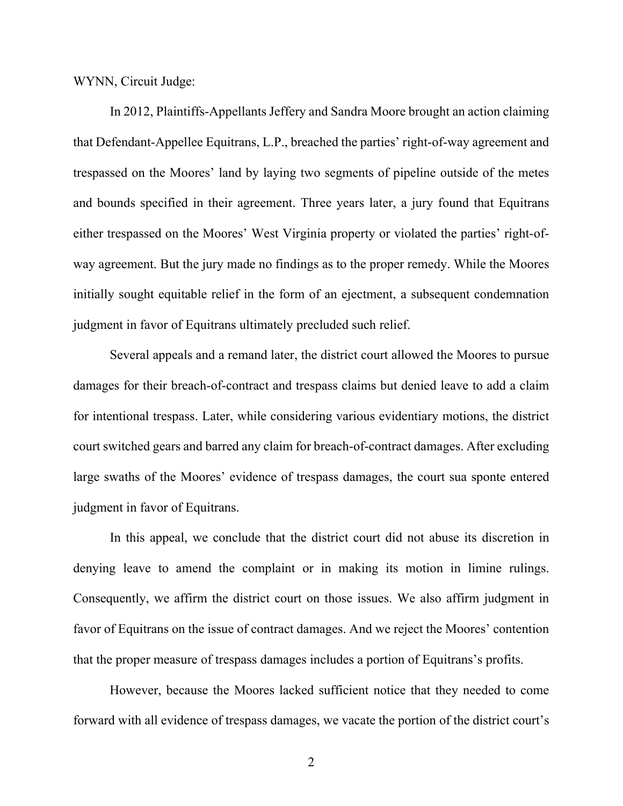WYNN, Circuit Judge:

In 2012, Plaintiffs-Appellants Jeffery and Sandra Moore brought an action claiming that Defendant-Appellee Equitrans, L.P., breached the parties' right-of-way agreement and trespassed on the Moores' land by laying two segments of pipeline outside of the metes and bounds specified in their agreement. Three years later, a jury found that Equitrans either trespassed on the Moores' West Virginia property or violated the parties' right-ofway agreement. But the jury made no findings as to the proper remedy. While the Moores initially sought equitable relief in the form of an ejectment, a subsequent condemnation judgment in favor of Equitrans ultimately precluded such relief.

Several appeals and a remand later, the district court allowed the Moores to pursue damages for their breach-of-contract and trespass claims but denied leave to add a claim for intentional trespass. Later, while considering various evidentiary motions, the district court switched gears and barred any claim for breach-of-contract damages. After excluding large swaths of the Moores' evidence of trespass damages, the court sua sponte entered judgment in favor of Equitrans.

In this appeal, we conclude that the district court did not abuse its discretion in denying leave to amend the complaint or in making its motion in limine rulings. Consequently, we affirm the district court on those issues. We also affirm judgment in favor of Equitrans on the issue of contract damages. And we reject the Moores' contention that the proper measure of trespass damages includes a portion of Equitrans's profits.

However, because the Moores lacked sufficient notice that they needed to come forward with all evidence of trespass damages, we vacate the portion of the district court's

2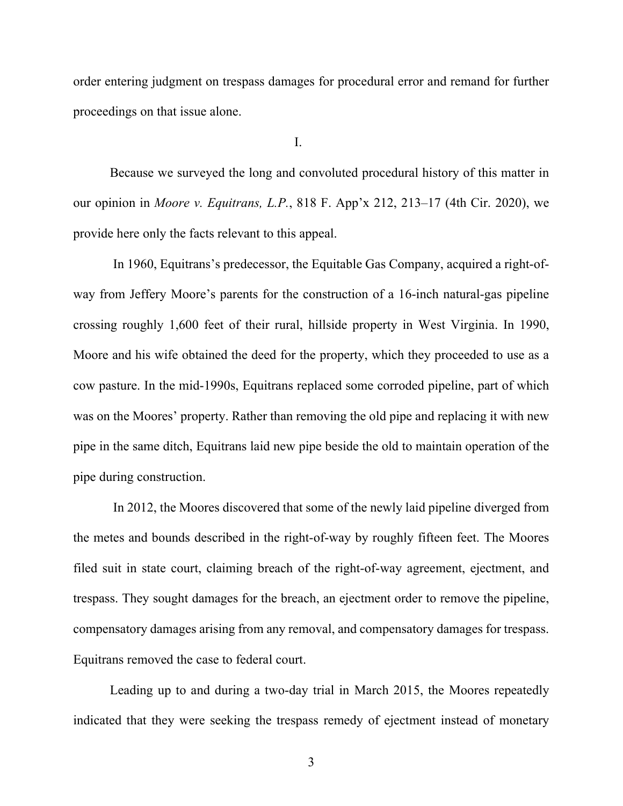order entering judgment on trespass damages for procedural error and remand for further proceedings on that issue alone.

I.

Because we surveyed the long and convoluted procedural history of this matter in our opinion in *Moore v. Equitrans, L.P.*, 818 F. App'x 212, 213–17 (4th Cir. 2020), we provide here only the facts relevant to this appeal.

In 1960, Equitrans's predecessor, the Equitable Gas Company, acquired a right-ofway from Jeffery Moore's parents for the construction of a 16-inch natural-gas pipeline crossing roughly 1,600 feet of their rural, hillside property in West Virginia. In 1990, Moore and his wife obtained the deed for the property, which they proceeded to use as a cow pasture. In the mid-1990s, Equitrans replaced some corroded pipeline, part of which was on the Moores' property. Rather than removing the old pipe and replacing it with new pipe in the same ditch, Equitrans laid new pipe beside the old to maintain operation of the pipe during construction.

In 2012, the Moores discovered that some of the newly laid pipeline diverged from the metes and bounds described in the right-of-way by roughly fifteen feet. The Moores filed suit in state court, claiming breach of the right-of-way agreement, ejectment, and trespass. They sought damages for the breach, an ejectment order to remove the pipeline, compensatory damages arising from any removal, and compensatory damages for trespass. Equitrans removed the case to federal court.

Leading up to and during a two-day trial in March 2015, the Moores repeatedly indicated that they were seeking the trespass remedy of ejectment instead of monetary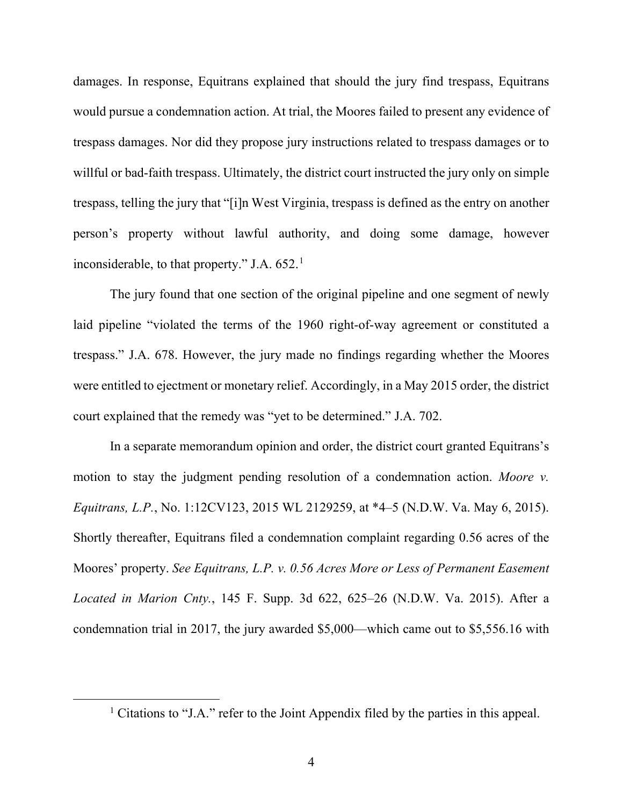damages. In response, Equitrans explained that should the jury find trespass, Equitrans would pursue a condemnation action. At trial, the Moores failed to present any evidence of trespass damages. Nor did they propose jury instructions related to trespass damages or to willful or bad-faith trespass. Ultimately, the district court instructed the jury only on simple trespass, telling the jury that "[i]n West Virginia, trespass is defined as the entry on another person's property without lawful authority, and doing some damage, however inconsiderable, to that property." J.A.  $652<sup>1</sup>$  $652<sup>1</sup>$  $652<sup>1</sup>$ 

The jury found that one section of the original pipeline and one segment of newly laid pipeline "violated the terms of the 1960 right-of-way agreement or constituted a trespass." J.A. 678. However, the jury made no findings regarding whether the Moores were entitled to ejectment or monetary relief. Accordingly, in a May 2015 order, the district court explained that the remedy was "yet to be determined." J.A. 702.

In a separate memorandum opinion and order, the district court granted Equitrans's motion to stay the judgment pending resolution of a condemnation action. *Moore v. Equitrans, L.P.*, No. 1:12CV123, 2015 WL 2129259, at \*4–5 (N.D.W. Va. May 6, 2015). Shortly thereafter, Equitrans filed a condemnation complaint regarding 0.56 acres of the Moores' property. *See Equitrans, L.P. v. 0.56 Acres More or Less of Permanent Easement Located in Marion Cnty.*, 145 F. Supp. 3d 622, 625–26 (N.D.W. Va. 2015). After a condemnation trial in 2017, the jury awarded \$5,000—which came out to \$5,556.16 with

<span id="page-3-0"></span><sup>&</sup>lt;sup>1</sup> Citations to "J.A." refer to the Joint Appendix filed by the parties in this appeal.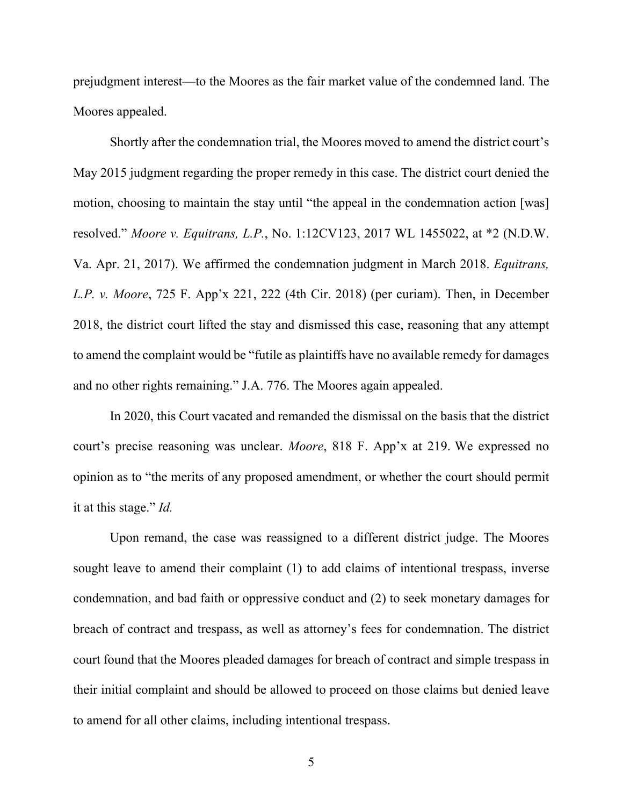prejudgment interest—to the Moores as the fair market value of the condemned land. The Moores appealed.

Shortly after the condemnation trial, the Moores moved to amend the district court's May 2015 judgment regarding the proper remedy in this case. The district court denied the motion, choosing to maintain the stay until "the appeal in the condemnation action [was] resolved." *Moore v. Equitrans, L.P.*, No. 1:12CV123, 2017 WL 1455022, at \*2 (N.D.W. Va. Apr. 21, 2017). We affirmed the condemnation judgment in March 2018. *Equitrans, L.P. v. Moore*, 725 F. App'x 221, 222 (4th Cir. 2018) (per curiam). Then, in December 2018, the district court lifted the stay and dismissed this case, reasoning that any attempt to amend the complaint would be "futile as plaintiffs have no available remedy for damages and no other rights remaining." J.A. 776. The Moores again appealed.

In 2020, this Court vacated and remanded the dismissal on the basis that the district court's precise reasoning was unclear. *Moore*, 818 F. App'x at 219. We expressed no opinion as to "the merits of any proposed amendment, or whether the court should permit it at this stage." *Id.*

Upon remand, the case was reassigned to a different district judge. The Moores sought leave to amend their complaint (1) to add claims of intentional trespass, inverse condemnation, and bad faith or oppressive conduct and (2) to seek monetary damages for breach of contract and trespass, as well as attorney's fees for condemnation. The district court found that the Moores pleaded damages for breach of contract and simple trespass in their initial complaint and should be allowed to proceed on those claims but denied leave to amend for all other claims, including intentional trespass.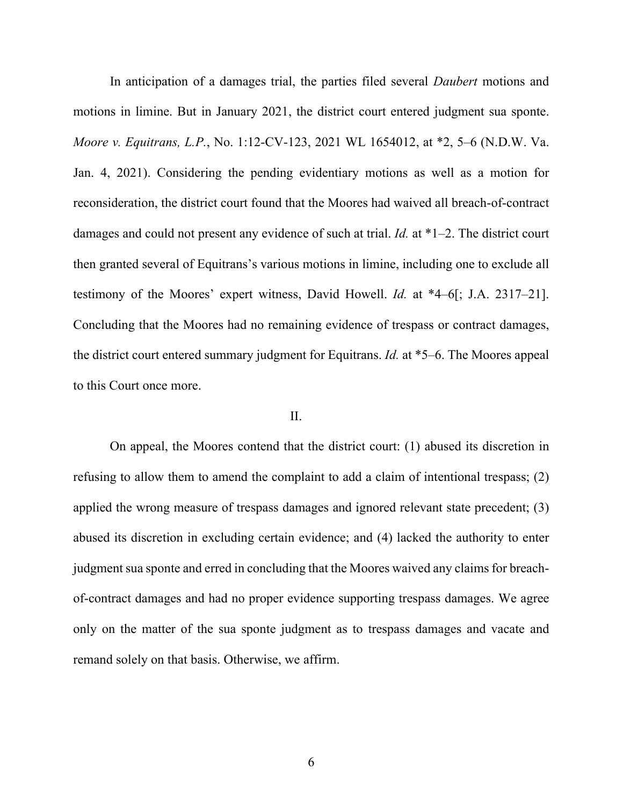In anticipation of a damages trial, the parties filed several *Daubert* motions and motions in limine. But in January 2021, the district court entered judgment sua sponte. *Moore v. Equitrans, L.P.*, No. 1:12-CV-123, 2021 WL 1654012, at \*2, 5–6 (N.D.W. Va. Jan. 4, 2021). Considering the pending evidentiary motions as well as a motion for reconsideration, the district court found that the Moores had waived all breach-of-contract damages and could not present any evidence of such at trial. *Id.* at \*1–2. The district court then granted several of Equitrans's various motions in limine, including one to exclude all testimony of the Moores' expert witness, David Howell. *Id.* at \*4–6[; J.A. 2317–21]. Concluding that the Moores had no remaining evidence of trespass or contract damages, the district court entered summary judgment for Equitrans. *Id.* at \*5–6. The Moores appeal to this Court once more.

# II.

On appeal, the Moores contend that the district court: (1) abused its discretion in refusing to allow them to amend the complaint to add a claim of intentional trespass; (2) applied the wrong measure of trespass damages and ignored relevant state precedent; (3) abused its discretion in excluding certain evidence; and (4) lacked the authority to enter judgment sua sponte and erred in concluding that the Moores waived any claims for breachof-contract damages and had no proper evidence supporting trespass damages. We agree only on the matter of the sua sponte judgment as to trespass damages and vacate and remand solely on that basis. Otherwise, we affirm.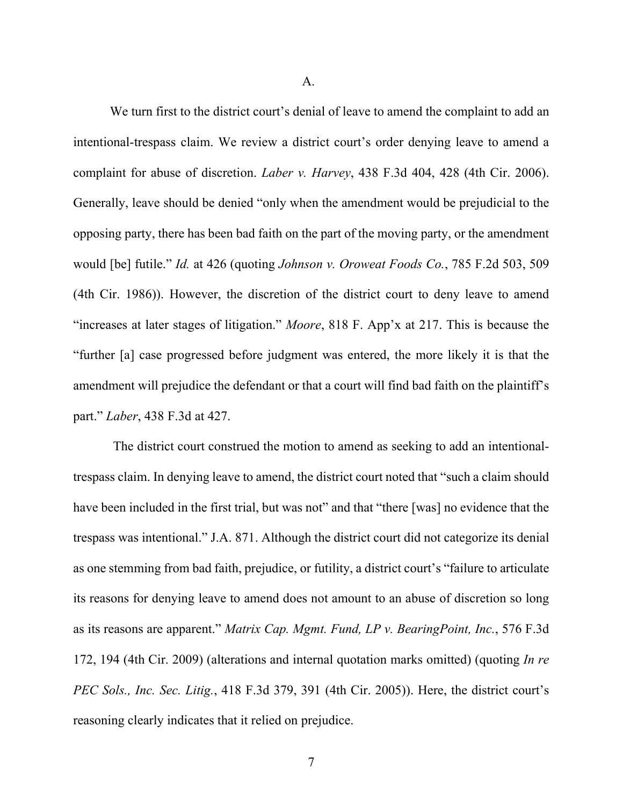A.

We turn first to the district court's denial of leave to amend the complaint to add an intentional-trespass claim. We review a district court's order denying leave to amend a complaint for abuse of discretion. *Laber v. Harvey*, 438 F.3d 404, 428 (4th Cir. 2006). Generally, leave should be denied "only when the amendment would be prejudicial to the opposing party, there has been bad faith on the part of the moving party, or the amendment would [be] futile." *Id.* at 426 (quoting *Johnson v. Oroweat Foods Co.*, 785 F.2d 503, 509 (4th Cir. 1986)). However, the discretion of the district court to deny leave to amend "increases at later stages of litigation." *Moore*, 818 F. App'x at 217. This is because the "further [a] case progressed before judgment was entered, the more likely it is that the amendment will prejudice the defendant or that a court will find bad faith on the plaintiff's part." *Laber*, 438 F.3d at 427.

The district court construed the motion to amend as seeking to add an intentionaltrespass claim. In denying leave to amend, the district court noted that "such a claim should have been included in the first trial, but was not" and that "there [was] no evidence that the trespass was intentional." J.A. 871. Although the district court did not categorize its denial as one stemming from bad faith, prejudice, or futility, a district court's "failure to articulate its reasons for denying leave to amend does not amount to an abuse of discretion so long as its reasons are apparent." *Matrix Cap. Mgmt. Fund, LP v. BearingPoint, Inc.*, 576 F.3d 172, 194 (4th Cir. 2009) (alterations and internal quotation marks omitted) (quoting *In re PEC Sols., Inc. Sec. Litig.*, 418 F.3d 379, 391 (4th Cir. 2005)). Here, the district court's reasoning clearly indicates that it relied on prejudice.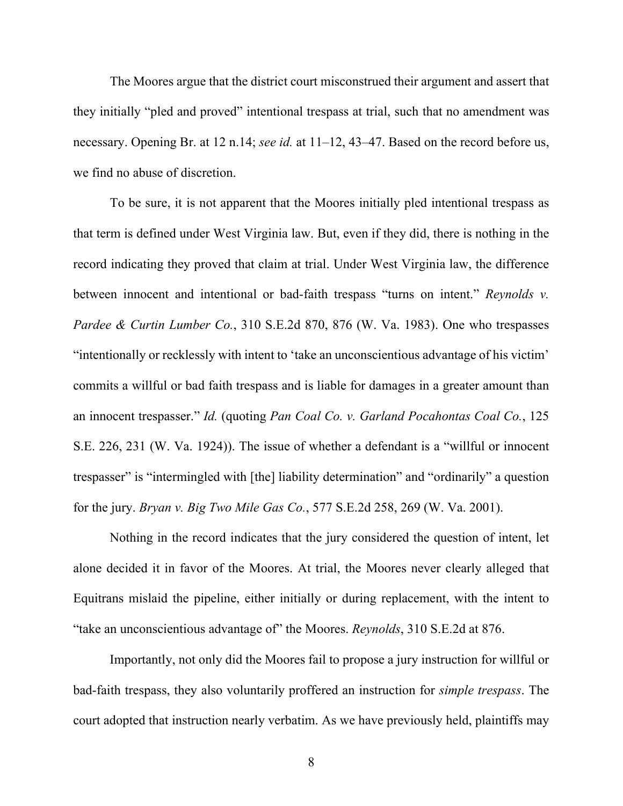The Moores argue that the district court misconstrued their argument and assert that they initially "pled and proved" intentional trespass at trial, such that no amendment was necessary. Opening Br. at 12 n.14; *see id.* at 11–12, 43–47. Based on the record before us, we find no abuse of discretion.

To be sure, it is not apparent that the Moores initially pled intentional trespass as that term is defined under West Virginia law. But, even if they did, there is nothing in the record indicating they proved that claim at trial. Under West Virginia law, the difference between innocent and intentional or bad-faith trespass "turns on intent." *Reynolds v. Pardee & Curtin Lumber Co.*, 310 S.E.2d 870, 876 (W. Va. 1983). One who trespasses "intentionally or recklessly with intent to 'take an unconscientious advantage of his victim' commits a willful or bad faith trespass and is liable for damages in a greater amount than an innocent trespasser." *Id.* (quoting *Pan Coal Co. v. Garland Pocahontas Coal Co.*, 125 S.E. 226, 231 (W. Va. 1924)). The issue of whether a defendant is a "willful or innocent trespasser" is "intermingled with [the] liability determination" and "ordinarily" a question for the jury. *Bryan v. Big Two Mile Gas Co.*, 577 S.E.2d 258, 269 (W. Va. 2001).

Nothing in the record indicates that the jury considered the question of intent, let alone decided it in favor of the Moores. At trial, the Moores never clearly alleged that Equitrans mislaid the pipeline, either initially or during replacement, with the intent to "take an unconscientious advantage of" the Moores. *Reynolds*, 310 S.E.2d at 876.

Importantly, not only did the Moores fail to propose a jury instruction for willful or bad-faith trespass, they also voluntarily proffered an instruction for *simple trespass*. The court adopted that instruction nearly verbatim. As we have previously held, plaintiffs may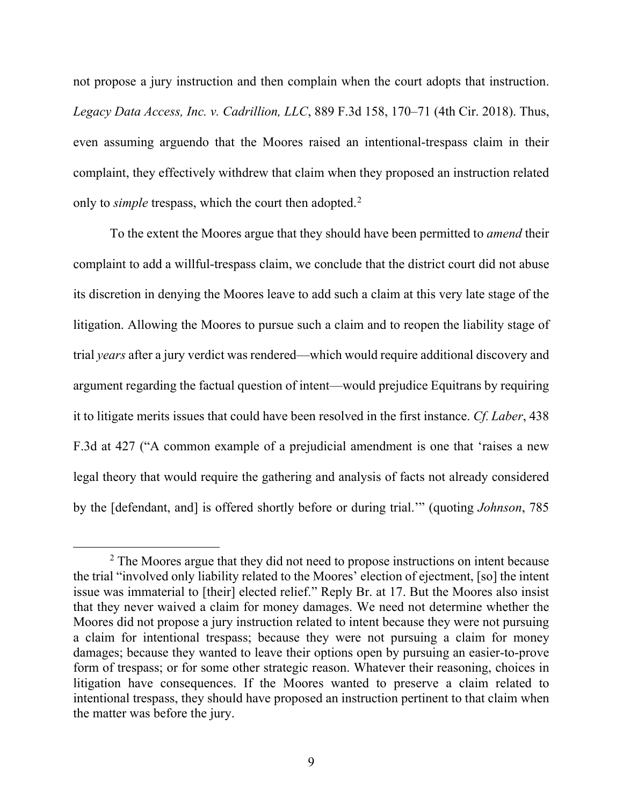not propose a jury instruction and then complain when the court adopts that instruction. *Legacy Data Access, Inc. v. Cadrillion, LLC*, 889 F.3d 158, 170–71 (4th Cir. 2018). Thus, even assuming arguendo that the Moores raised an intentional-trespass claim in their complaint, they effectively withdrew that claim when they proposed an instruction related only to *simple* trespass, which the court then adopted.<sup>[2](#page-8-0)</sup>

To the extent the Moores argue that they should have been permitted to *amend* their complaint to add a willful-trespass claim, we conclude that the district court did not abuse its discretion in denying the Moores leave to add such a claim at this very late stage of the litigation. Allowing the Moores to pursue such a claim and to reopen the liability stage of trial *years* after a jury verdict was rendered—which would require additional discovery and argument regarding the factual question of intent—would prejudice Equitrans by requiring it to litigate merits issues that could have been resolved in the first instance. *Cf. Laber*, 438 F.3d at 427 ("A common example of a prejudicial amendment is one that 'raises a new legal theory that would require the gathering and analysis of facts not already considered by the [defendant, and] is offered shortly before or during trial.'" (quoting *Johnson*, 785

<span id="page-8-0"></span><sup>&</sup>lt;sup>2</sup> The Moores argue that they did not need to propose instructions on intent because the trial "involved only liability related to the Moores' election of ejectment, [so] the intent issue was immaterial to [their] elected relief." Reply Br. at 17. But the Moores also insist that they never waived a claim for money damages. We need not determine whether the Moores did not propose a jury instruction related to intent because they were not pursuing a claim for intentional trespass; because they were not pursuing a claim for money damages; because they wanted to leave their options open by pursuing an easier-to-prove form of trespass; or for some other strategic reason. Whatever their reasoning, choices in litigation have consequences. If the Moores wanted to preserve a claim related to intentional trespass, they should have proposed an instruction pertinent to that claim when the matter was before the jury.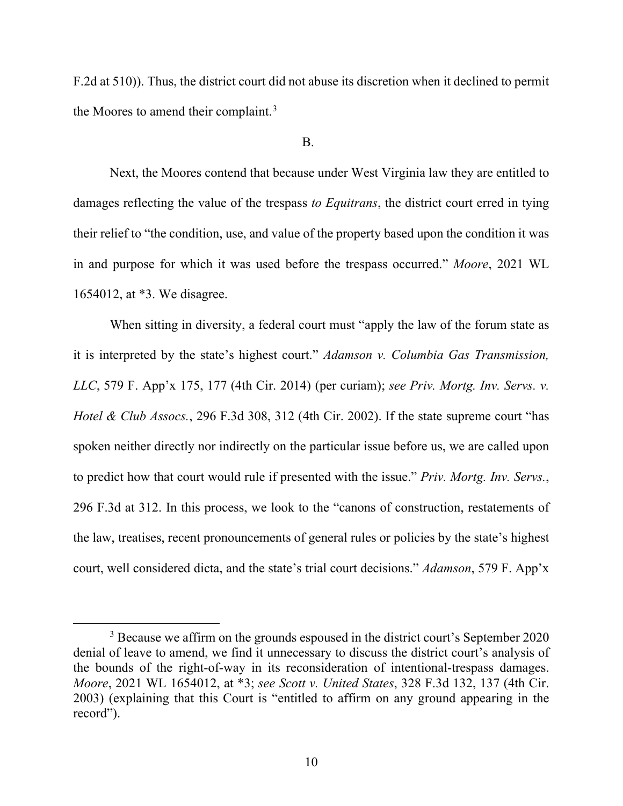F.2d at 510)). Thus, the district court did not abuse its discretion when it declined to permit the Moores to amend their complaint.<sup>[3](#page-9-0)</sup>

#### B.

Next, the Moores contend that because under West Virginia law they are entitled to damages reflecting the value of the trespass *to Equitrans*, the district court erred in tying their relief to "the condition, use, and value of the property based upon the condition it was in and purpose for which it was used before the trespass occurred." *Moore*, 2021 WL 1654012, at \*3. We disagree.

When sitting in diversity, a federal court must "apply the law of the forum state as it is interpreted by the state's highest court." *Adamson v. Columbia Gas Transmission, LLC*, 579 F. App'x 175, 177 (4th Cir. 2014) (per curiam); *see Priv. Mortg. Inv. Servs. v. Hotel & Club Assocs.*, 296 F.3d 308, 312 (4th Cir. 2002). If the state supreme court "has spoken neither directly nor indirectly on the particular issue before us, we are called upon to predict how that court would rule if presented with the issue." *Priv. Mortg. Inv. Servs.*, 296 F.3d at 312. In this process, we look to the "canons of construction, restatements of the law, treatises, recent pronouncements of general rules or policies by the state's highest court, well considered dicta, and the state's trial court decisions." *Adamson*, 579 F. App'x

<span id="page-9-0"></span><sup>&</sup>lt;sup>3</sup> Because we affirm on the grounds espoused in the district court's September 2020 denial of leave to amend, we find it unnecessary to discuss the district court's analysis of the bounds of the right-of-way in its reconsideration of intentional-trespass damages. *Moore*, 2021 WL 1654012, at \*3; *see Scott v. United States*, 328 F.3d 132, 137 (4th Cir. 2003) (explaining that this Court is "entitled to affirm on any ground appearing in the record").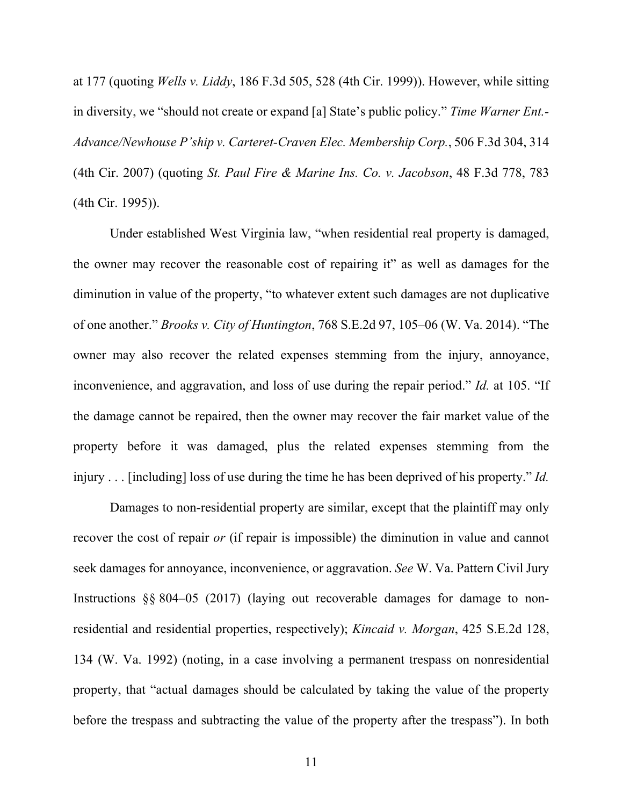at 177 (quoting *Wells v. Liddy*, 186 F.3d 505, 528 (4th Cir. 1999)). However, while sitting in diversity, we "should not create or expand [a] State's public policy." *Time Warner Ent.- Advance/Newhouse P'ship v. Carteret-Craven Elec. Membership Corp.*, 506 F.3d 304, 314 (4th Cir. 2007) (quoting *St. Paul Fire & Marine Ins. Co. v. Jacobson*, 48 F.3d 778, 783 (4th Cir. 1995)).

Under established West Virginia law, "when residential real property is damaged, the owner may recover the reasonable cost of repairing it" as well as damages for the diminution in value of the property, "to whatever extent such damages are not duplicative of one another." *Brooks v. City of Huntington*, 768 S.E.2d 97, 105–06 (W. Va. 2014). "The owner may also recover the related expenses stemming from the injury, annoyance, inconvenience, and aggravation, and loss of use during the repair period." *Id.* at 105. "If the damage cannot be repaired, then the owner may recover the fair market value of the property before it was damaged, plus the related expenses stemming from the injury . . . [including] loss of use during the time he has been deprived of his property." *Id.*

Damages to non-residential property are similar, except that the plaintiff may only recover the cost of repair *or* (if repair is impossible) the diminution in value and cannot seek damages for annoyance, inconvenience, or aggravation. *See* W. Va. Pattern Civil Jury Instructions §§ 804–05 (2017) (laying out recoverable damages for damage to nonresidential and residential properties, respectively); *Kincaid v. Morgan*, 425 S.E.2d 128, 134 (W. Va. 1992) (noting, in a case involving a permanent trespass on nonresidential property, that "actual damages should be calculated by taking the value of the property before the trespass and subtracting the value of the property after the trespass"). In both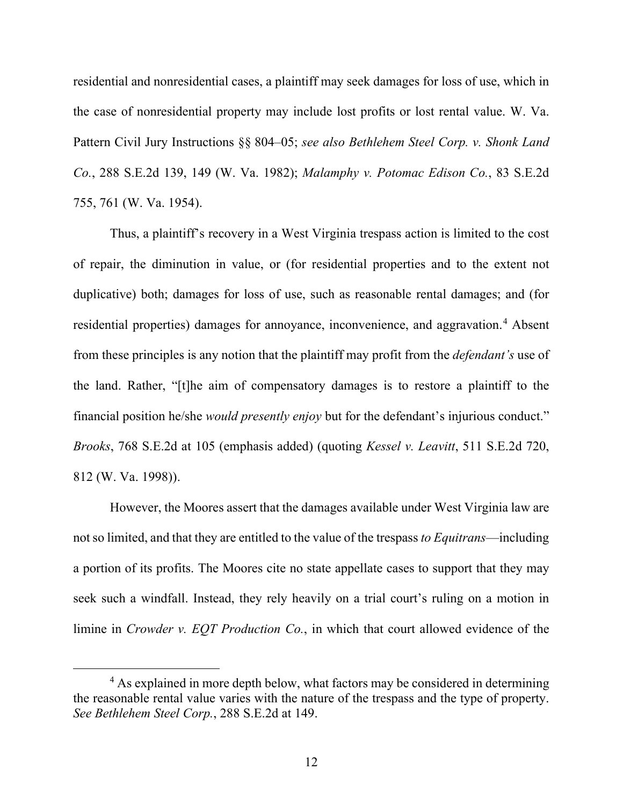residential and nonresidential cases, a plaintiff may seek damages for loss of use, which in the case of nonresidential property may include lost profits or lost rental value. W. Va. Pattern Civil Jury Instructions §§ 804–05; *see also Bethlehem Steel Corp. v. Shonk Land Co.*, 288 S.E.2d 139, 149 (W. Va. 1982); *Malamphy v. Potomac Edison Co.*, 83 S.E.2d 755, 761 (W. Va. 1954).

Thus, a plaintiff's recovery in a West Virginia trespass action is limited to the cost of repair, the diminution in value, or (for residential properties and to the extent not duplicative) both; damages for loss of use, such as reasonable rental damages; and (for residential properties) damages for annoyance, inconvenience, and aggravation. [4](#page-11-0) Absent from these principles is any notion that the plaintiff may profit from the *defendant's* use of the land. Rather, "[t]he aim of compensatory damages is to restore a plaintiff to the financial position he/she *would presently enjoy* but for the defendant's injurious conduct." *Brooks*, 768 S.E.2d at 105 (emphasis added) (quoting *Kessel v. Leavitt*, 511 S.E.2d 720, 812 (W. Va. 1998)).

However, the Moores assert that the damages available under West Virginia law are notso limited, and that they are entitled to the value of the trespass *to Equitrans*—including a portion of its profits. The Moores cite no state appellate cases to support that they may seek such a windfall. Instead, they rely heavily on a trial court's ruling on a motion in limine in *Crowder v. EQT Production Co.*, in which that court allowed evidence of the

<span id="page-11-0"></span><sup>&</sup>lt;sup>4</sup> As explained in more depth below, what factors may be considered in determining the reasonable rental value varies with the nature of the trespass and the type of property. *See Bethlehem Steel Corp.*, 288 S.E.2d at 149.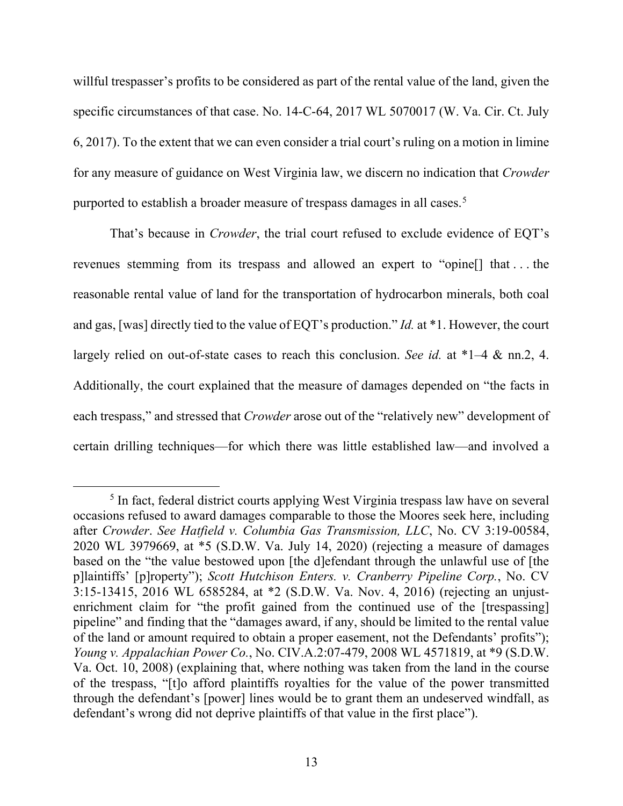willful trespasser's profits to be considered as part of the rental value of the land, given the specific circumstances of that case. No. 14-C-64, 2017 WL 5070017 (W. Va. Cir. Ct. July 6, 2017). To the extent that we can even consider a trial court's ruling on a motion in limine for any measure of guidance on West Virginia law, we discern no indication that *Crowder* purported to establish a broader measure of trespass damages in all cases.<sup>[5](#page-12-0)</sup>

That's because in *Crowder*, the trial court refused to exclude evidence of EQT's revenues stemming from its trespass and allowed an expert to "opine[] that . . . the reasonable rental value of land for the transportation of hydrocarbon minerals, both coal and gas, [was] directly tied to the value of EQT's production." *Id.* at \*1. However, the court largely relied on out-of-state cases to reach this conclusion. *See id.* at \*1–4 & nn.2, 4. Additionally, the court explained that the measure of damages depended on "the facts in each trespass," and stressed that *Crowder* arose out of the "relatively new" development of certain drilling techniques—for which there was little established law—and involved a

<span id="page-12-0"></span><sup>&</sup>lt;sup>5</sup> In fact, federal district courts applying West Virginia trespass law have on several occasions refused to award damages comparable to those the Moores seek here, including after *Crowder*. *See Hatfield v. Columbia Gas Transmission, LLC*, No. CV 3:19-00584, 2020 WL 3979669, at \*5 (S.D.W. Va. July 14, 2020) (rejecting a measure of damages based on the "the value bestowed upon [the d]efendant through the unlawful use of [the p]laintiffs' [p]roperty"); *Scott Hutchison Enters. v. Cranberry Pipeline Corp.*, No. CV 3:15-13415, 2016 WL 6585284, at \*2 (S.D.W. Va. Nov. 4, 2016) (rejecting an unjustenrichment claim for "the profit gained from the continued use of the [trespassing] pipeline" and finding that the "damages award, if any, should be limited to the rental value of the land or amount required to obtain a proper easement, not the Defendants' profits"); *Young v. Appalachian Power Co.*, No. CIV.A.2:07-479, 2008 WL 4571819, at \*9 (S.D.W. Va. Oct. 10, 2008) (explaining that, where nothing was taken from the land in the course of the trespass, "[t]o afford plaintiffs royalties for the value of the power transmitted through the defendant's [power] lines would be to grant them an undeserved windfall, as defendant's wrong did not deprive plaintiffs of that value in the first place").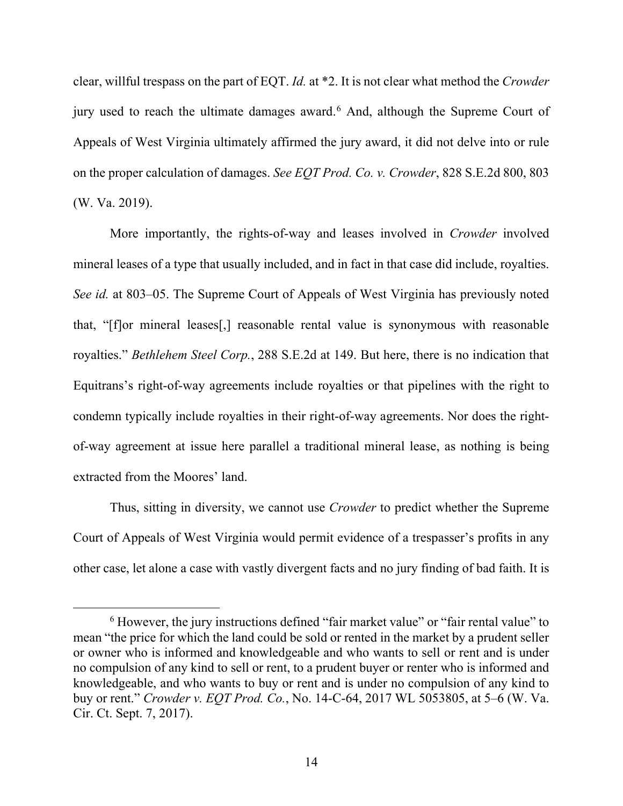clear, willful trespass on the part of EQT. *Id.* at \*2. It is not clear what method the *Crowder* jury used to reach the ultimate damages award.<sup>[6](#page-13-0)</sup> And, although the Supreme Court of Appeals of West Virginia ultimately affirmed the jury award, it did not delve into or rule on the proper calculation of damages. *See EQT Prod. Co. v. Crowder*, 828 S.E.2d 800, 803 (W. Va. 2019).

More importantly, the rights-of-way and leases involved in *Crowder* involved mineral leases of a type that usually included, and in fact in that case did include, royalties. *See id.* at 803–05. The Supreme Court of Appeals of West Virginia has previously noted that, "[f]or mineral leases[,] reasonable rental value is synonymous with reasonable royalties." *Bethlehem Steel Corp.*, 288 S.E.2d at 149. But here, there is no indication that Equitrans's right-of-way agreements include royalties or that pipelines with the right to condemn typically include royalties in their right-of-way agreements. Nor does the rightof-way agreement at issue here parallel a traditional mineral lease, as nothing is being extracted from the Moores' land.

Thus, sitting in diversity, we cannot use *Crowder* to predict whether the Supreme Court of Appeals of West Virginia would permit evidence of a trespasser's profits in any other case, let alone a case with vastly divergent facts and no jury finding of bad faith. It is

<span id="page-13-0"></span><sup>&</sup>lt;sup>6</sup> However, the jury instructions defined "fair market value" or "fair rental value" to mean "the price for which the land could be sold or rented in the market by a prudent seller or owner who is informed and knowledgeable and who wants to sell or rent and is under no compulsion of any kind to sell or rent, to a prudent buyer or renter who is informed and knowledgeable, and who wants to buy or rent and is under no compulsion of any kind to buy or rent." *Crowder v. EQT Prod. Co.*, No. 14-C-64, 2017 WL 5053805, at 5–6 (W. Va. Cir. Ct. Sept. 7, 2017).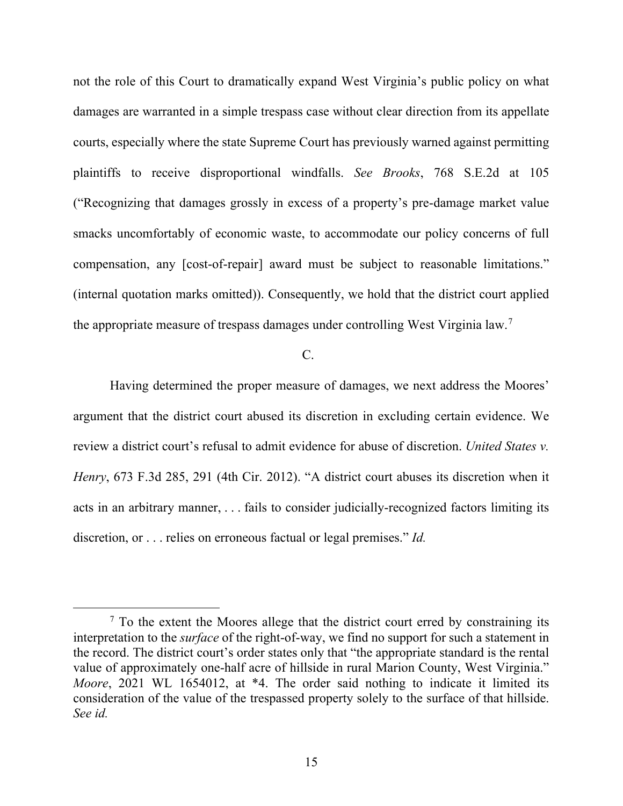not the role of this Court to dramatically expand West Virginia's public policy on what damages are warranted in a simple trespass case without clear direction from its appellate courts, especially where the state Supreme Court has previously warned against permitting plaintiffs to receive disproportional windfalls. *See Brooks*, 768 S.E.2d at 105 ("Recognizing that damages grossly in excess of a property's pre-damage market value smacks uncomfortably of economic waste, to accommodate our policy concerns of full compensation, any [cost-of-repair] award must be subject to reasonable limitations." (internal quotation marks omitted)). Consequently, we hold that the district court applied the appropriate measure of trespass damages under controlling West Virginia law.[7](#page-14-0)

## $C<sub>c</sub>$

Having determined the proper measure of damages, we next address the Moores' argument that the district court abused its discretion in excluding certain evidence. We review a district court's refusal to admit evidence for abuse of discretion. *United States v. Henry*, 673 F.3d 285, 291 (4th Cir. 2012). "A district court abuses its discretion when it acts in an arbitrary manner, . . . fails to consider judicially-recognized factors limiting its discretion, or . . . relies on erroneous factual or legal premises." *Id.*

<span id="page-14-0"></span> $<sup>7</sup>$  To the extent the Moores allege that the district court erred by constraining its</sup> interpretation to the *surface* of the right-of-way, we find no support for such a statement in the record. The district court's order states only that "the appropriate standard is the rental value of approximately one-half acre of hillside in rural Marion County, West Virginia." *Moore*, 2021 WL 1654012, at \*4. The order said nothing to indicate it limited its consideration of the value of the trespassed property solely to the surface of that hillside. *See id.*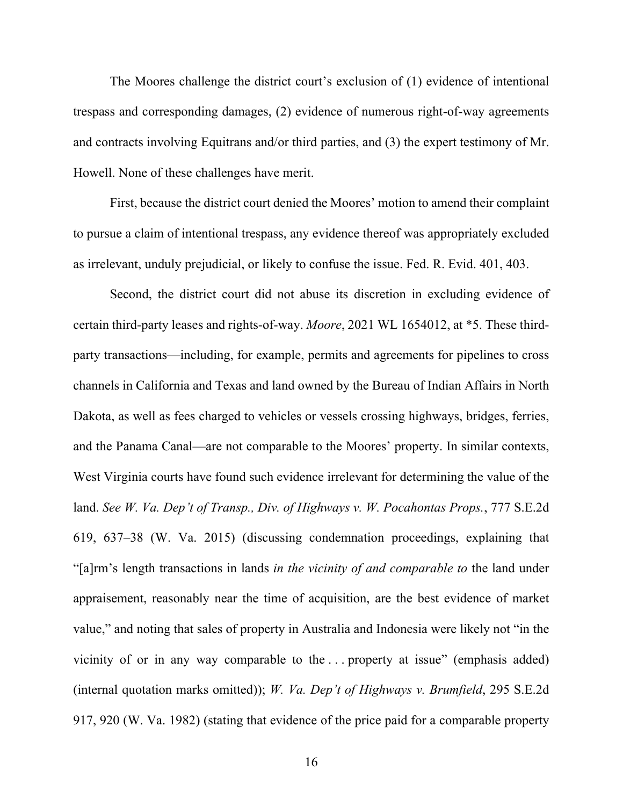The Moores challenge the district court's exclusion of (1) evidence of intentional trespass and corresponding damages, (2) evidence of numerous right-of-way agreements and contracts involving Equitrans and/or third parties, and (3) the expert testimony of Mr. Howell. None of these challenges have merit.

First, because the district court denied the Moores' motion to amend their complaint to pursue a claim of intentional trespass, any evidence thereof was appropriately excluded as irrelevant, unduly prejudicial, or likely to confuse the issue. Fed. R. Evid. 401, 403.

Second, the district court did not abuse its discretion in excluding evidence of certain third-party leases and rights-of-way. *Moore*, 2021 WL 1654012, at \*5. These thirdparty transactions—including, for example, permits and agreements for pipelines to cross channels in California and Texas and land owned by the Bureau of Indian Affairs in North Dakota, as well as fees charged to vehicles or vessels crossing highways, bridges, ferries, and the Panama Canal—are not comparable to the Moores' property. In similar contexts, West Virginia courts have found such evidence irrelevant for determining the value of the land. *See W. Va. Dep't of Transp., Div. of Highways v. W. Pocahontas Props.*, 777 S.E.2d 619, 637–38 (W. Va. 2015) (discussing condemnation proceedings, explaining that "[a]rm's length transactions in lands *in the vicinity of and comparable to* the land under appraisement, reasonably near the time of acquisition, are the best evidence of market value," and noting that sales of property in Australia and Indonesia were likely not "in the vicinity of or in any way comparable to the . . . property at issue" (emphasis added) (internal quotation marks omitted)); *W. Va. Dep't of Highways v. Brumfield*, 295 S.E.2d 917, 920 (W. Va. 1982) (stating that evidence of the price paid for a comparable property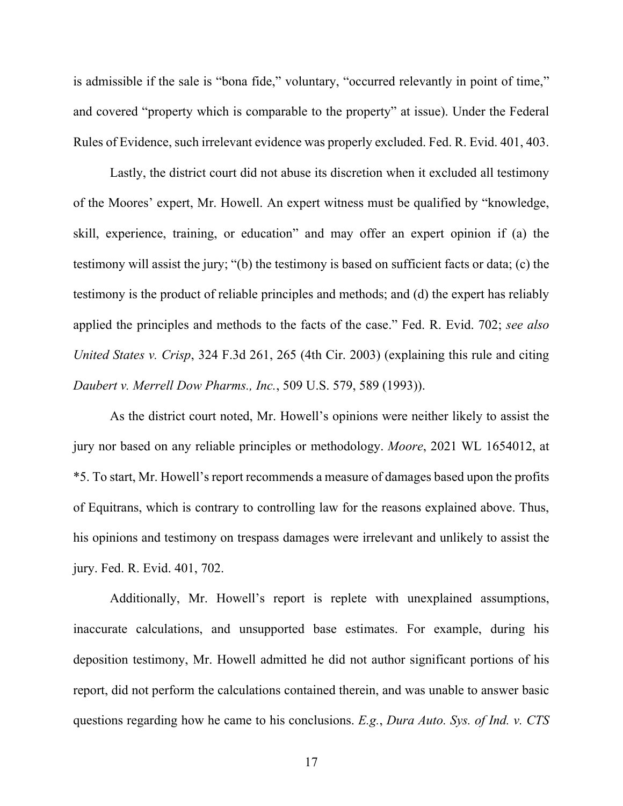is admissible if the sale is "bona fide," voluntary, "occurred relevantly in point of time," and covered "property which is comparable to the property" at issue). Under the Federal Rules of Evidence, such irrelevant evidence was properly excluded. Fed. R. Evid. 401, 403.

Lastly, the district court did not abuse its discretion when it excluded all testimony of the Moores' expert, Mr. Howell. An expert witness must be qualified by "knowledge, skill, experience, training, or education" and may offer an expert opinion if (a) the testimony will assist the jury; "(b) the testimony is based on sufficient facts or data; (c) the testimony is the product of reliable principles and methods; and (d) the expert has reliably applied the principles and methods to the facts of the case." Fed. R. Evid. 702; *see also United States v. Crisp*, 324 F.3d 261, 265 (4th Cir. 2003) (explaining this rule and citing *Daubert v. Merrell Dow Pharms., Inc.*, 509 U.S. 579, 589 (1993)).

As the district court noted, Mr. Howell's opinions were neither likely to assist the jury nor based on any reliable principles or methodology. *Moore*, 2021 WL 1654012, at \*5. To start, Mr. Howell's report recommends a measure of damages based upon the profits of Equitrans, which is contrary to controlling law for the reasons explained above. Thus, his opinions and testimony on trespass damages were irrelevant and unlikely to assist the jury. Fed. R. Evid. 401, 702.

Additionally, Mr. Howell's report is replete with unexplained assumptions, inaccurate calculations, and unsupported base estimates. For example, during his deposition testimony, Mr. Howell admitted he did not author significant portions of his report, did not perform the calculations contained therein, and was unable to answer basic questions regarding how he came to his conclusions. *E.g.*, *Dura Auto. Sys. of Ind. v. CTS*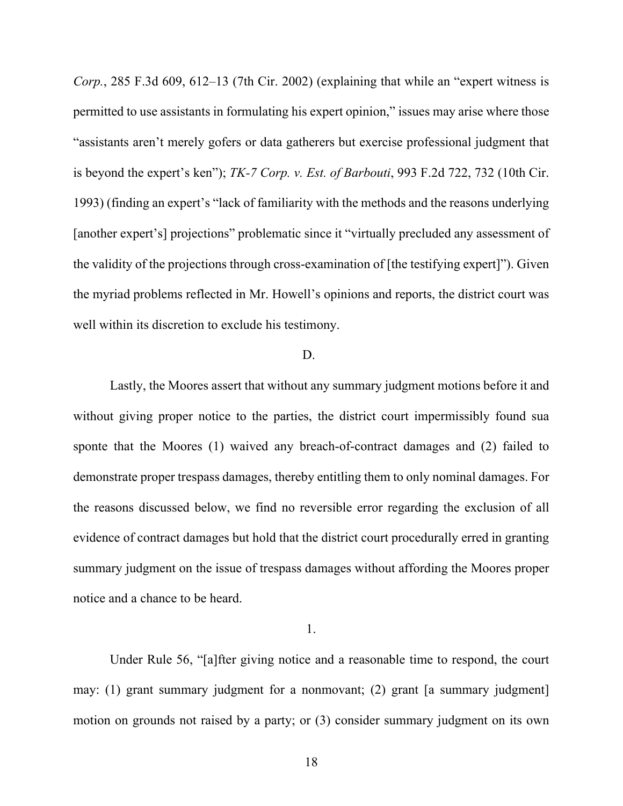*Corp.*, 285 F.3d 609, 612–13 (7th Cir. 2002) (explaining that while an "expert witness is permitted to use assistants in formulating his expert opinion," issues may arise where those "assistants aren't merely gofers or data gatherers but exercise professional judgment that is beyond the expert's ken"); *TK-7 Corp. v. Est. of Barbouti*, 993 F.2d 722, 732 (10th Cir. 1993) (finding an expert's "lack of familiarity with the methods and the reasons underlying [another expert's] projections" problematic since it "virtually precluded any assessment of the validity of the projections through cross-examination of [the testifying expert]"). Given the myriad problems reflected in Mr. Howell's opinions and reports, the district court was well within its discretion to exclude his testimony.

#### D.

Lastly, the Moores assert that without any summary judgment motions before it and without giving proper notice to the parties, the district court impermissibly found sua sponte that the Moores (1) waived any breach-of-contract damages and (2) failed to demonstrate proper trespass damages, thereby entitling them to only nominal damages. For the reasons discussed below, we find no reversible error regarding the exclusion of all evidence of contract damages but hold that the district court procedurally erred in granting summary judgment on the issue of trespass damages without affording the Moores proper notice and a chance to be heard.

#### 1.

Under Rule 56, "[a]fter giving notice and a reasonable time to respond, the court may: (1) grant summary judgment for a nonmovant; (2) grant [a summary judgment] motion on grounds not raised by a party; or (3) consider summary judgment on its own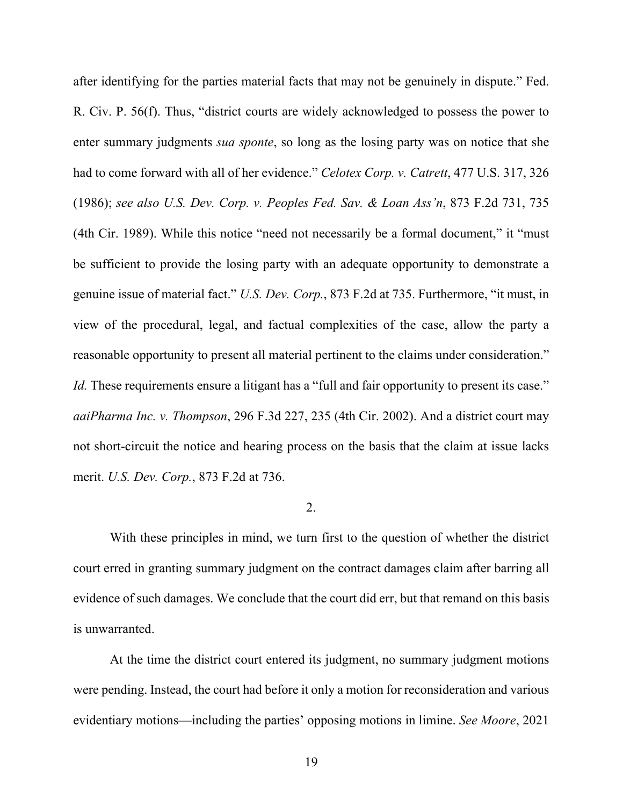after identifying for the parties material facts that may not be genuinely in dispute." Fed. R. Civ. P. 56(f). Thus, "district courts are widely acknowledged to possess the power to enter summary judgments *sua sponte*, so long as the losing party was on notice that she had to come forward with all of her evidence." *Celotex Corp. v. Catrett*, 477 U.S. 317, 326 (1986); *see also U.S. Dev. Corp. v. Peoples Fed. Sav. & Loan Ass'n*, 873 F.2d 731, 735 (4th Cir. 1989). While this notice "need not necessarily be a formal document," it "must be sufficient to provide the losing party with an adequate opportunity to demonstrate a genuine issue of material fact." *U.S. Dev. Corp.*, 873 F.2d at 735. Furthermore, "it must, in view of the procedural, legal, and factual complexities of the case, allow the party a reasonable opportunity to present all material pertinent to the claims under consideration." *Id.* These requirements ensure a litigant has a "full and fair opportunity to present its case." *aaiPharma Inc. v. Thompson*, 296 F.3d 227, 235 (4th Cir. 2002). And a district court may not short-circuit the notice and hearing process on the basis that the claim at issue lacks merit. *U.S. Dev. Corp.*, 873 F.2d at 736.

# 2.

With these principles in mind, we turn first to the question of whether the district court erred in granting summary judgment on the contract damages claim after barring all evidence of such damages. We conclude that the court did err, but that remand on this basis is unwarranted.

At the time the district court entered its judgment, no summary judgment motions were pending. Instead, the court had before it only a motion for reconsideration and various evidentiary motions—including the parties' opposing motions in limine. *See Moore*, 2021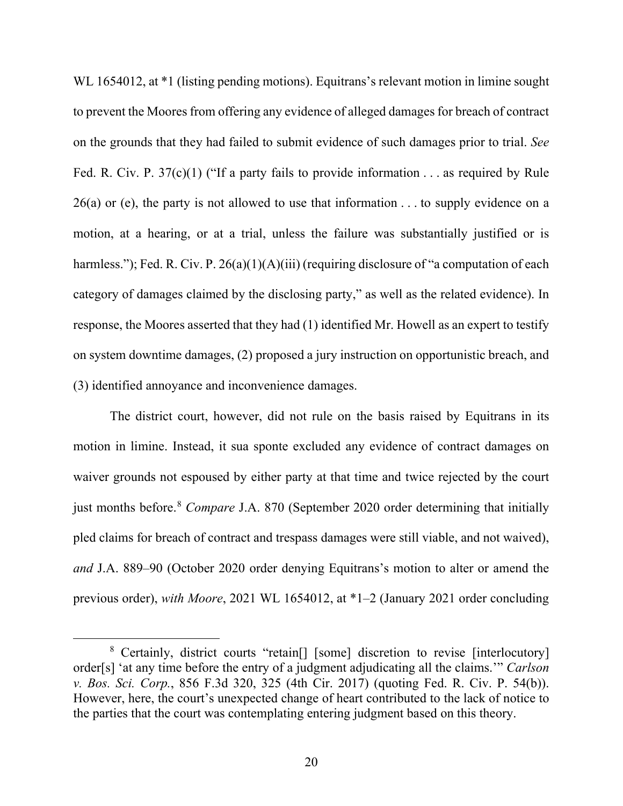WL 1654012, at \*1 (listing pending motions). Equitrans's relevant motion in limine sought to prevent the Moores from offering any evidence of alleged damages for breach of contract on the grounds that they had failed to submit evidence of such damages prior to trial. *See*  Fed. R. Civ. P.  $37(c)(1)$  ("If a party fails to provide information . . . as required by Rule  $26(a)$  or (e), the party is not allowed to use that information . . . to supply evidence on a motion, at a hearing, or at a trial, unless the failure was substantially justified or is harmless."); Fed. R. Civ. P. 26(a)(1)(A)(iii) (requiring disclosure of "a computation of each category of damages claimed by the disclosing party," as well as the related evidence). In response, the Moores asserted that they had (1) identified Mr. Howell as an expert to testify on system downtime damages, (2) proposed a jury instruction on opportunistic breach, and (3) identified annoyance and inconvenience damages.

The district court, however, did not rule on the basis raised by Equitrans in its motion in limine. Instead, it sua sponte excluded any evidence of contract damages on waiver grounds not espoused by either party at that time and twice rejected by the court just months before. [8](#page-19-0) *Compare* J.A. 870 (September 2020 order determining that initially pled claims for breach of contract and trespass damages were still viable, and not waived), *and* J.A. 889–90 (October 2020 order denying Equitrans's motion to alter or amend the previous order), *with Moore*, 2021 WL 1654012, at \*1–2 (January 2021 order concluding

<span id="page-19-0"></span><sup>&</sup>lt;sup>8</sup> Certainly, district courts "retain<sup>[]</sup> [some] discretion to revise [interlocutory] order[s] 'at any time before the entry of a judgment adjudicating all the claims.'" *Carlson v. Bos. Sci. Corp.*, 856 F.3d 320, 325 (4th Cir. 2017) (quoting Fed. R. Civ. P. 54(b)). However, here, the court's unexpected change of heart contributed to the lack of notice to the parties that the court was contemplating entering judgment based on this theory.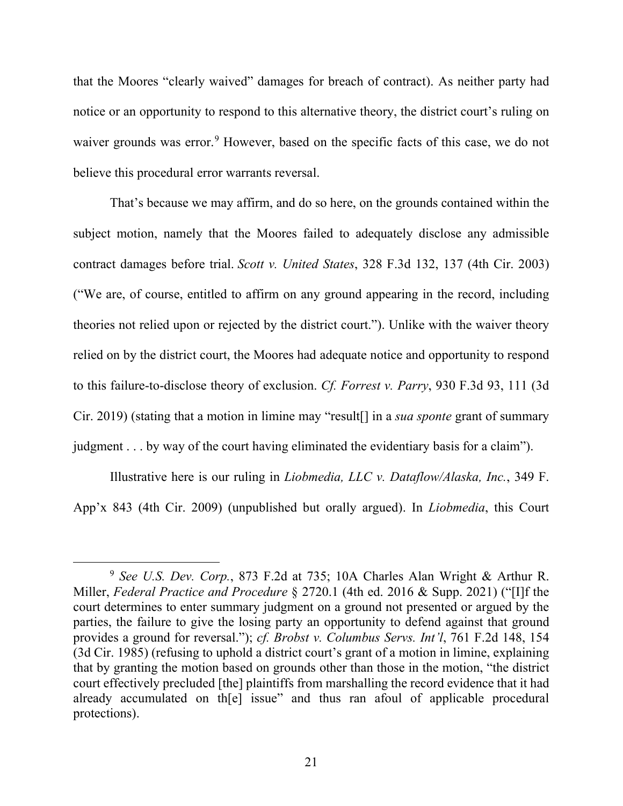that the Moores "clearly waived" damages for breach of contract). As neither party had notice or an opportunity to respond to this alternative theory, the district court's ruling on waiver grounds was error.<sup>[9](#page-20-0)</sup> However, based on the specific facts of this case, we do not believe this procedural error warrants reversal.

That's because we may affirm, and do so here, on the grounds contained within the subject motion, namely that the Moores failed to adequately disclose any admissible contract damages before trial. *Scott v. United States*, 328 F.3d 132, 137 (4th Cir. 2003) ("We are, of course, entitled to affirm on any ground appearing in the record, including theories not relied upon or rejected by the district court."). Unlike with the waiver theory relied on by the district court, the Moores had adequate notice and opportunity to respond to this failure-to-disclose theory of exclusion. *Cf. Forrest v. Parry*, 930 F.3d 93, 111 (3d Cir. 2019) (stating that a motion in limine may "result[] in a *sua sponte* grant of summary judgment . . . by way of the court having eliminated the evidentiary basis for a claim").

Illustrative here is our ruling in *Liobmedia, LLC v. Dataflow/Alaska, Inc.*, 349 F. App'x 843 (4th Cir. 2009) (unpublished but orally argued). In *Liobmedia*, this Court

<span id="page-20-0"></span><sup>9</sup> *See U.S. Dev. Corp.*, 873 F.2d at 735; 10A Charles Alan Wright & Arthur R. Miller, *Federal Practice and Procedure* § 2720.1 (4th ed. 2016 & Supp. 2021) ("[I]f the court determines to enter summary judgment on a ground not presented or argued by the parties, the failure to give the losing party an opportunity to defend against that ground provides a ground for reversal."); *cf. Brobst v. Columbus Servs. Int'l*, 761 F.2d 148, 154 (3d Cir. 1985) (refusing to uphold a district court's grant of a motion in limine, explaining that by granting the motion based on grounds other than those in the motion, "the district court effectively precluded [the] plaintiffs from marshalling the record evidence that it had already accumulated on th[e] issue" and thus ran afoul of applicable procedural protections).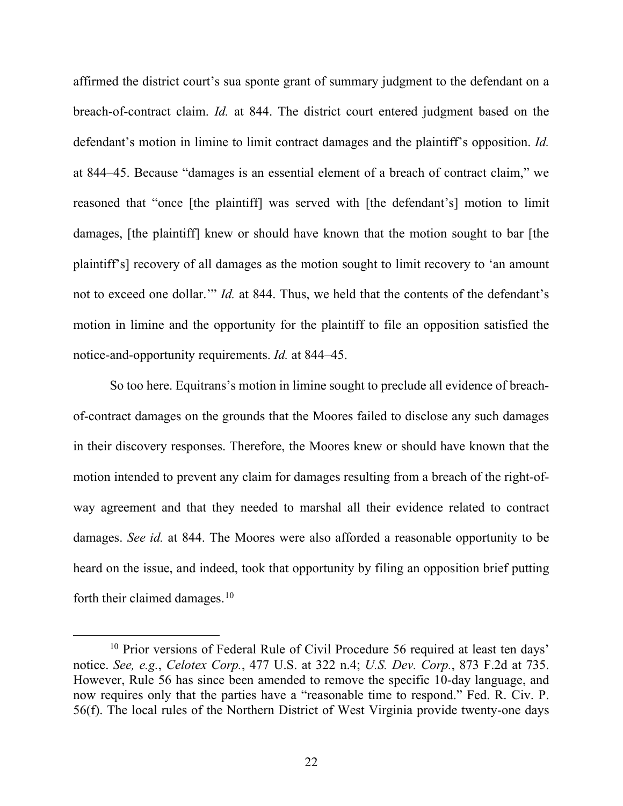affirmed the district court's sua sponte grant of summary judgment to the defendant on a breach-of-contract claim. *Id.* at 844. The district court entered judgment based on the defendant's motion in limine to limit contract damages and the plaintiff's opposition. *Id.* at 844–45. Because "damages is an essential element of a breach of contract claim," we reasoned that "once [the plaintiff] was served with [the defendant's] motion to limit damages, [the plaintiff] knew or should have known that the motion sought to bar [the plaintiff's] recovery of all damages as the motion sought to limit recovery to 'an amount not to exceed one dollar.'" *Id.* at 844. Thus, we held that the contents of the defendant's motion in limine and the opportunity for the plaintiff to file an opposition satisfied the notice-and-opportunity requirements. *Id.* at 844–45.

So too here. Equitrans's motion in limine sought to preclude all evidence of breachof-contract damages on the grounds that the Moores failed to disclose any such damages in their discovery responses. Therefore, the Moores knew or should have known that the motion intended to prevent any claim for damages resulting from a breach of the right-ofway agreement and that they needed to marshal all their evidence related to contract damages. *See id.* at 844. The Moores were also afforded a reasonable opportunity to be heard on the issue, and indeed, took that opportunity by filing an opposition brief putting forth their claimed damages.<sup>[10](#page-21-0)</sup>

<span id="page-21-0"></span><sup>&</sup>lt;sup>10</sup> Prior versions of Federal Rule of Civil Procedure 56 required at least ten days' notice. *See, e.g.*, *Celotex Corp.*, 477 U.S. at 322 n.4; *U.S. Dev. Corp.*, 873 F.2d at 735. However, Rule 56 has since been amended to remove the specific 10-day language, and now requires only that the parties have a "reasonable time to respond." Fed. R. Civ. P. 56(f). The local rules of the Northern District of West Virginia provide twenty-one days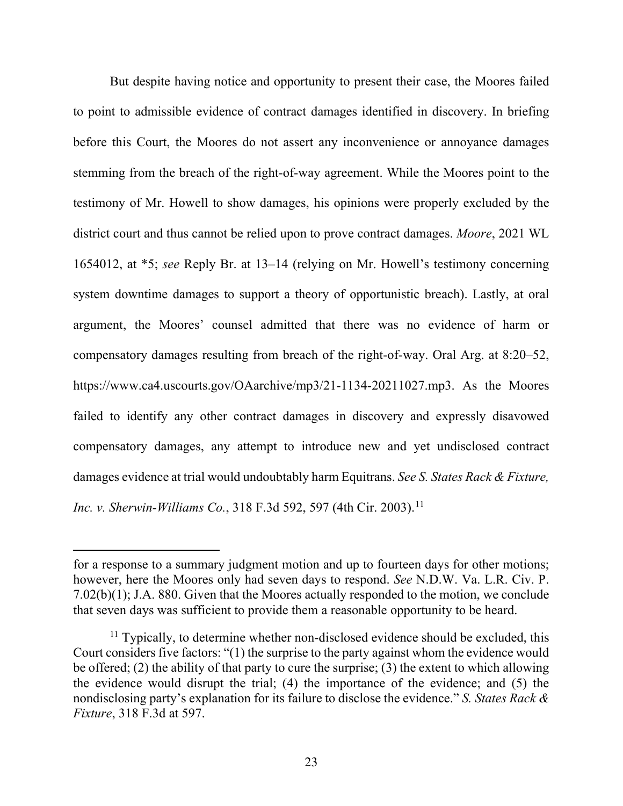But despite having notice and opportunity to present their case, the Moores failed to point to admissible evidence of contract damages identified in discovery. In briefing before this Court, the Moores do not assert any inconvenience or annoyance damages stemming from the breach of the right-of-way agreement. While the Moores point to the testimony of Mr. Howell to show damages, his opinions were properly excluded by the district court and thus cannot be relied upon to prove contract damages. *Moore*, 2021 WL 1654012, at \*5; *see* Reply Br. at 13–14 (relying on Mr. Howell's testimony concerning system downtime damages to support a theory of opportunistic breach). Lastly, at oral argument, the Moores' counsel admitted that there was no evidence of harm or compensatory damages resulting from breach of the right-of-way. Oral Arg. at 8:20–52, https://www.ca4.uscourts.gov/OAarchive/mp3/21-1134-20211027.mp3. As the Moores failed to identify any other contract damages in discovery and expressly disavowed compensatory damages, any attempt to introduce new and yet undisclosed contract damages evidence at trial would undoubtably harm Equitrans. *See S. States Rack & Fixture, Inc. v. Sherwin-Williams Co.*, 318 F.3d 592, 597 (4th Cir. 2003). [11](#page-22-0)

for a response to a summary judgment motion and up to fourteen days for other motions; however, here the Moores only had seven days to respond. *See* N.D.W. Va. L.R. Civ. P. 7.02(b)(1); J.A. 880. Given that the Moores actually responded to the motion, we conclude that seven days was sufficient to provide them a reasonable opportunity to be heard.

<span id="page-22-0"></span> $11$  Typically, to determine whether non-disclosed evidence should be excluded, this Court considers five factors: "(1) the surprise to the party against whom the evidence would be offered; (2) the ability of that party to cure the surprise; (3) the extent to which allowing the evidence would disrupt the trial; (4) the importance of the evidence; and (5) the nondisclosing party's explanation for its failure to disclose the evidence." *S. States Rack & Fixture*, 318 F.3d at 597.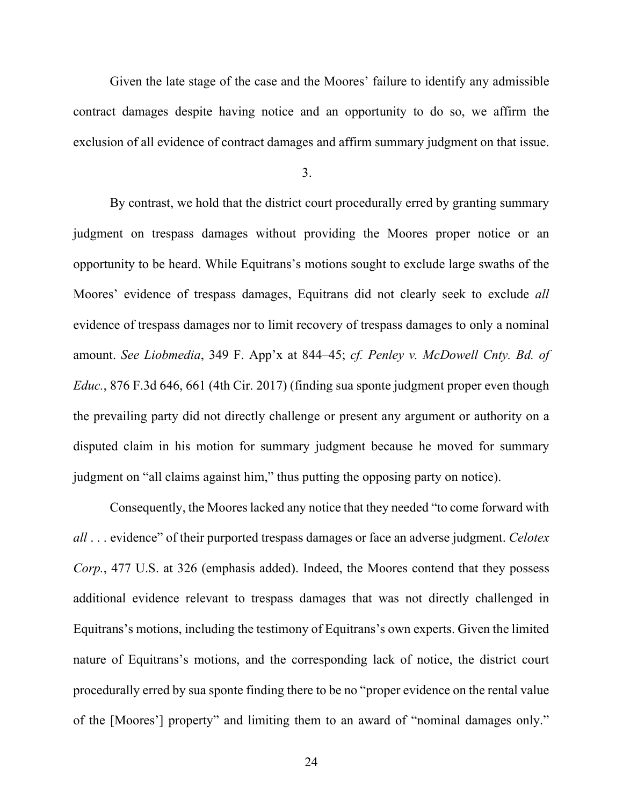Given the late stage of the case and the Moores' failure to identify any admissible contract damages despite having notice and an opportunity to do so, we affirm the exclusion of all evidence of contract damages and affirm summary judgment on that issue.

3.

By contrast, we hold that the district court procedurally erred by granting summary judgment on trespass damages without providing the Moores proper notice or an opportunity to be heard. While Equitrans's motions sought to exclude large swaths of the Moores' evidence of trespass damages, Equitrans did not clearly seek to exclude *all*  evidence of trespass damages nor to limit recovery of trespass damages to only a nominal amount. *See Liobmedia*, 349 F. App'x at 844–45; *cf. Penley v. McDowell Cnty. Bd. of Educ.*, 876 F.3d 646, 661 (4th Cir. 2017) (finding sua sponte judgment proper even though the prevailing party did not directly challenge or present any argument or authority on a disputed claim in his motion for summary judgment because he moved for summary judgment on "all claims against him," thus putting the opposing party on notice).

Consequently, the Moores lacked any notice that they needed "to come forward with *all* . . . evidence" of their purported trespass damages or face an adverse judgment. *Celotex Corp.*, 477 U.S. at 326 (emphasis added). Indeed, the Moores contend that they possess additional evidence relevant to trespass damages that was not directly challenged in Equitrans's motions, including the testimony of Equitrans's own experts. Given the limited nature of Equitrans's motions, and the corresponding lack of notice, the district court procedurally erred by sua sponte finding there to be no "proper evidence on the rental value of the [Moores'] property" and limiting them to an award of "nominal damages only."